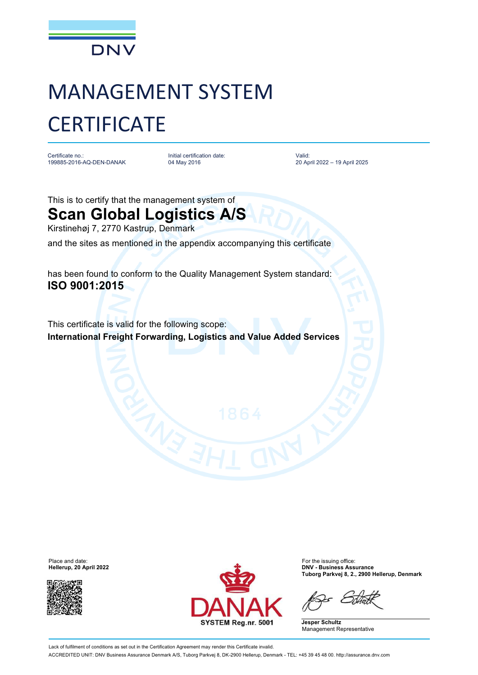

## MANAGEMENT SYSTEM **CERTIFICATE**

Certificate no.: 199885-2016-AQ-DEN-DANAK Initial certification date: 04 May 2016

Valid: 20 April 2022 – 19 April 2025

This is to certify that the management system of

**Scan Global Logistics A/S** Kirstinehøj 7, 2770 Kastrup, Denmark

and the sites as mentioned in the appendix accompanying this certificate

has been found to conform to the Quality Management System standard: **ISO 9001:2015**

This certificate is valid for the following scope: **International Freight Forwarding, Logistics and Value Added Services**

**Hellerup, 20 April 2022** 





**Tuborg Parkvej 8, 2., 2900 Hellerup, Denmark**

**Jesper Schultz** Management Representative

Lack of fulfilment of conditions as set out in the Certification Agreement may render this Certificate invalid. ACCREDITED UNIT: DNV Business Assurance Denmark A/S, Tuborg Parkvej 8, DK-2900 Hellerup, Denmark - TEL: +45 39 45 48 00. <http://assurance.dnv.com>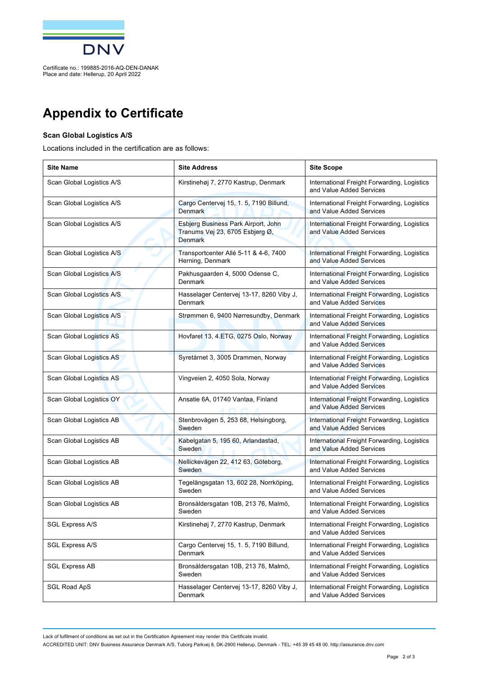

Place and date: Hellerup, 20 April 2022

## **Appendix to Certificate**

## **Scan Global Logistics A/S**

Locations included in the certification are as follows:

| <b>Site Name</b>          | <b>Site Address</b>                                                                      | <b>Site Scope</b>                                                       |
|---------------------------|------------------------------------------------------------------------------------------|-------------------------------------------------------------------------|
| Scan Global Logistics A/S | Kirstinehøj 7, 2770 Kastrup, Denmark                                                     | International Freight Forwarding, Logistics<br>and Value Added Services |
| Scan Global Logistics A/S | Cargo Centervej 15, 1. 5, 7190 Billund,<br><b>Denmark</b>                                | International Freight Forwarding, Logistics<br>and Value Added Services |
| Scan Global Logistics A/S | Esbjerg Business Park Airport, John<br>Tranums Vej 23, 6705 Esbjerg Ø,<br><b>Denmark</b> | International Freight Forwarding, Logistics<br>and Value Added Services |
| Scan Global Logistics A/S | Transportcenter Allé 5-11 & 4-6, 7400<br>Herning, Denmark                                | International Freight Forwarding, Logistics<br>and Value Added Services |
| Scan Global Logistics A/S | Pakhusgaarden 4, 5000 Odense C,<br>Denmark                                               | International Freight Forwarding, Logistics<br>and Value Added Services |
| Scan Global Logistics A/S | Hasselager Centervej 13-17, 8260 Viby J,<br>Denmark                                      | International Freight Forwarding, Logistics<br>and Value Added Services |
| Scan Global Logistics A/S | Strømmen 6, 9400 Nørresundby, Denmark                                                    | International Freight Forwarding, Logistics<br>and Value Added Services |
| Scan Global Logistics AS  | Hovfaret 13, 4.ETG, 0275 Oslo, Norway                                                    | International Freight Forwarding, Logistics<br>and Value Added Services |
| Scan Global Logistics AS  | Syretårnet 3, 3005 Drammen, Norway                                                       | International Freight Forwarding, Logistics<br>and Value Added Services |
| Scan Global Logistics AS  | Vingveien 2, 4050 Sola, Norway                                                           | International Freight Forwarding, Logistics<br>and Value Added Services |
| Scan Global Logistics OY  | Ansatie 6A, 01740 Vantaa, Finland                                                        | International Freight Forwarding, Logistics<br>and Value Added Services |
| Scan Global Logistics AB  | Stenbrovägen 5, 253 68, Helsingborg,<br>Sweden                                           | International Freight Forwarding, Logistics<br>and Value Added Services |
| Scan Global Logistics AB  | Kabelgatan 5, 195 60, Arlandastad,<br>Sweden                                             | International Freight Forwarding, Logistics<br>and Value Added Services |
| Scan Global Logistics AB  | Nellickevägen 22, 412 63, Göteborg,<br>Sweden                                            | International Freight Forwarding, Logistics<br>and Value Added Services |
| Scan Global Logistics AB  | Tegelängsgatan 13, 602 28, Norrköping,<br>Sweden                                         | International Freight Forwarding, Logistics<br>and Value Added Services |
| Scan Global Logistics AB  | Bronsåldersgatan 10B, 213 76, Malmö,<br>Sweden                                           | International Freight Forwarding, Logistics<br>and Value Added Services |
| <b>SGL Express A/S</b>    | Kirstinehøj 7, 2770 Kastrup, Denmark                                                     | International Freight Forwarding, Logistics<br>and Value Added Services |
| <b>SGL Express A/S</b>    | Cargo Centervej 15, 1. 5, 7190 Billund,<br>Denmark                                       | International Freight Forwarding, Logistics<br>and Value Added Services |
| <b>SGL Express AB</b>     | Bronsåldersgatan 10B, 213 76, Malmö,<br>Sweden                                           | International Freight Forwarding, Logistics<br>and Value Added Services |
| <b>SGL Road ApS</b>       | Hasselager Centervej 13-17, 8260 Viby J,<br>Denmark                                      | International Freight Forwarding, Logistics<br>and Value Added Services |

Lack of fulfilment of conditions as set out in the Certification Agreement may render this Certificate invalid.

ACCREDITED UNIT: DNV Business Assurance Denmark A/S, Tuborg Parkvej 8, DK-2900 Hellerup, Denmark - TEL: +45 39 45 48 00. <http://assurance.dnv.com>